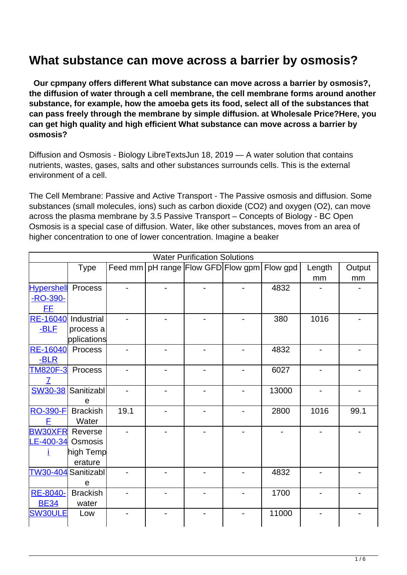## **What substance can move across a barrier by osmosis?**

 **Our cpmpany offers different What substance can move across a barrier by osmosis?, the diffusion of water through a cell membrane, the cell membrane forms around another substance, for example, how the amoeba gets its food, select all of the substances that can pass freely through the membrane by simple diffusion. at Wholesale Price?Here, you can get high quality and high efficient What substance can move across a barrier by osmosis?**

Diffusion and Osmosis - Biology LibreTextsJun 18, 2019 — A water solution that contains nutrients, wastes, gases, salts and other substances surrounds cells. This is the external environment of a cell.

The Cell Membrane: Passive and Active Transport - The Passive osmosis and diffusion. Some substances (small molecules, ions) such as carbon dioxide (CO2) and oxygen (O2), can move across the plasma membrane by 3.5 Passive Transport – Concepts of Biology - BC Open Osmosis is a special case of diffusion. Water, like other substances, moves from an area of higher concentration to one of lower concentration. Imagine a beaker

| <b>Water Purification Solutions</b> |                     |      |  |                                                    |  |       |                          |        |  |
|-------------------------------------|---------------------|------|--|----------------------------------------------------|--|-------|--------------------------|--------|--|
|                                     | <b>Type</b>         |      |  | Feed mm   pH range   Flow GFD  Flow gpm   Flow gpd |  |       | Length                   | Output |  |
|                                     |                     |      |  |                                                    |  |       | mm                       | mm     |  |
| <b>Hypershell</b> Process           |                     |      |  |                                                    |  | 4832  |                          |        |  |
| -RO-390-                            |                     |      |  |                                                    |  |       |                          |        |  |
| <b>FF</b>                           |                     |      |  |                                                    |  |       |                          |        |  |
| <b>RE-16040</b>                     | Industrial          |      |  |                                                    |  | 380   | 1016                     |        |  |
| $-BLF$                              | process a           |      |  |                                                    |  |       |                          |        |  |
|                                     | pplications         |      |  |                                                    |  |       |                          |        |  |
| <b>RE-16040</b>                     | Process             |      |  |                                                    |  | 4832  | $\overline{\phantom{0}}$ |        |  |
| -BLR                                |                     |      |  |                                                    |  |       |                          |        |  |
| <b>TM820F-3</b>                     | Process             |      |  |                                                    |  | 6027  |                          |        |  |
|                                     |                     |      |  |                                                    |  |       |                          |        |  |
| <b>SW30-38</b>                      | Sanitizabl          |      |  |                                                    |  | 13000 |                          |        |  |
|                                     | e                   |      |  |                                                    |  |       |                          |        |  |
| <b>RO-390-F</b>                     | <b>Brackish</b>     | 19.1 |  |                                                    |  | 2800  | 1016                     | 99.1   |  |
| F                                   | Water               |      |  |                                                    |  |       |                          |        |  |
| <b>BW30XFR</b>                      | Reverse             |      |  |                                                    |  |       |                          |        |  |
| LE-400-34                           | Osmosis             |      |  |                                                    |  |       |                          |        |  |
|                                     | high Temp           |      |  |                                                    |  |       |                          |        |  |
|                                     | erature             |      |  |                                                    |  |       |                          |        |  |
|                                     | TW30-404 Sanitizabl |      |  |                                                    |  | 4832  |                          |        |  |
|                                     | e                   |      |  |                                                    |  |       |                          |        |  |
| RE-8040-                            | <b>Brackish</b>     |      |  |                                                    |  | 1700  |                          |        |  |
| <b>BE34</b>                         | water               |      |  |                                                    |  |       |                          |        |  |
| <b>SW30ULE</b>                      | Low                 |      |  |                                                    |  | 11000 |                          |        |  |
|                                     |                     |      |  |                                                    |  |       |                          |        |  |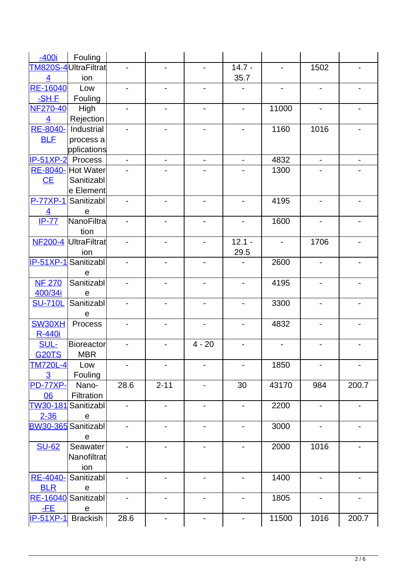| $-400i$           | Fouling                |                              |                              |                          |                          |                |                              |                          |
|-------------------|------------------------|------------------------------|------------------------------|--------------------------|--------------------------|----------------|------------------------------|--------------------------|
|                   | TM820S-4UltraFiltrat   |                              |                              |                          | $14.7 -$                 |                | 1502                         |                          |
| $\overline{4}$    | ion                    |                              |                              |                          | 35.7                     |                |                              |                          |
| <b>RE-16040</b>   | Low                    |                              |                              |                          |                          |                | $\qquad \qquad \blacksquare$ |                          |
| -SH F             | Fouling                |                              |                              |                          |                          |                |                              |                          |
| <b>NF270-40</b>   | High                   | $\qquad \qquad \blacksquare$ | $\qquad \qquad \blacksquare$ |                          |                          | 11000          | $\overline{\phantom{0}}$     |                          |
| $\overline{4}$    | Rejection              |                              |                              |                          |                          |                |                              |                          |
| RE-8040-          | Industrial             |                              |                              |                          |                          | 1160           | 1016                         |                          |
| <b>BLF</b>        | process a              |                              |                              |                          |                          |                |                              |                          |
|                   | pplications            |                              |                              |                          |                          |                |                              |                          |
| IP-51XP-2 Process |                        | $\blacksquare$               | $\overline{\phantom{0}}$     | $\overline{\phantom{a}}$ | $\blacksquare$           | 4832           | ÷,                           | $\overline{\phantom{a}}$ |
| RE-8040-          | Hot Water              |                              |                              |                          |                          | 1300           |                              |                          |
| CE                | Sanitizabl             |                              |                              |                          |                          |                |                              |                          |
|                   | e Element              |                              |                              |                          |                          |                |                              |                          |
| $P-77XP-1$        | Sanitizabl             |                              | $\blacksquare$               | $\blacksquare$           | $\blacksquare$           | 4195           | $\overline{a}$               |                          |
| $\overline{4}$    | $\mathbf e$            |                              |                              |                          |                          |                |                              |                          |
| $IP-77$           | NanoFiltra             |                              | $\overline{a}$               |                          | $\overline{\phantom{0}}$ | 1600           | $\overline{a}$               |                          |
|                   | tion                   |                              |                              |                          |                          |                |                              |                          |
| <b>NF200-4</b>    | UltraFiltrat           |                              | $\overline{a}$               | $\blacksquare$           | $12.1 -$                 | $\blacksquare$ | 1706                         |                          |
|                   | ion                    |                              |                              |                          | 29.5                     |                |                              |                          |
|                   | IP-51XP-1 Sanitizabl   |                              | $\overline{a}$               |                          |                          | 2600           | ÷,                           |                          |
|                   | e                      |                              |                              |                          |                          |                |                              |                          |
| <b>NF 270</b>     | Sanitizabl             |                              | $\overline{a}$               | $\blacksquare$           | $\blacksquare$           | 4195           | $\overline{a}$               |                          |
| 400/34i           | e                      |                              |                              |                          |                          |                |                              |                          |
| <b>SU-710L</b>    | Sanitizabl             |                              | $\blacksquare$               |                          |                          | 3300           | $\overline{\phantom{0}}$     |                          |
|                   | $\mathbf e$<br>Process |                              | $\blacksquare$               |                          | $\overline{\phantom{0}}$ | 4832           | $\blacksquare$               |                          |
| SW30XH<br>R-440i  |                        |                              |                              |                          |                          |                |                              |                          |
| <b>SUL-</b>       | <b>Bioreactor</b>      |                              |                              | $4 - 20$                 |                          |                |                              |                          |
| <b>G20TS</b>      | <b>MBR</b>             |                              |                              |                          |                          |                |                              |                          |
| <b>TM720L-4</b>   | Low                    |                              |                              |                          |                          | 1850           | $\overline{\phantom{a}}$     |                          |
| $\overline{3}$    | Fouling                |                              |                              |                          |                          |                |                              |                          |
| <b>PD-77XP-</b>   | Nano-                  | 28.6                         | $2 - 11$                     | $\overline{\phantom{a}}$ | 30                       | 43170          | 984                          | 200.7                    |
| 06                | Filtration             |                              |                              |                          |                          |                |                              |                          |
| TW30-181          | Sanitizabl             |                              | $\overline{\phantom{0}}$     | $\overline{\phantom{a}}$ | $\overline{\phantom{0}}$ | 2200           | $\blacksquare$               |                          |
| $2 - 36$          | ${\bf e}$              |                              |                              |                          |                          |                |                              |                          |
|                   | BW30-365 Sanitizabl    | $\overline{\phantom{0}}$     | $\overline{\phantom{0}}$     | $\overline{\phantom{a}}$ | $\overline{\phantom{0}}$ | 3000           | $\blacksquare$               |                          |
|                   | $\mathbf e$            |                              |                              |                          |                          |                |                              |                          |
| <b>SU-62</b>      | Seawater               |                              |                              |                          |                          | 2000           | 1016                         |                          |
|                   | Nanofiltrat            |                              |                              |                          |                          |                |                              |                          |
|                   | ion                    |                              |                              |                          |                          |                |                              |                          |
| <b>RE-4040-</b>   | Sanitizabl             |                              |                              |                          |                          | 1400           | $\overline{\phantom{a}}$     |                          |
| <b>BLR</b>        | ${\bf e}$              |                              |                              |                          |                          |                |                              |                          |
|                   | RE-16040 Sanitizabl    | $\qquad \qquad \blacksquare$ | $\qquad \qquad \blacksquare$ | $\blacksquare$           |                          | 1805           | $\overline{\phantom{a}}$     |                          |
| $-FE$             | ${\bf e}$              |                              |                              |                          |                          |                |                              |                          |
| <b>IP-51XP-1</b>  | <b>Brackish</b>        | 28.6                         | $\overline{\phantom{0}}$     |                          |                          | 11500          | 1016                         | 200.7                    |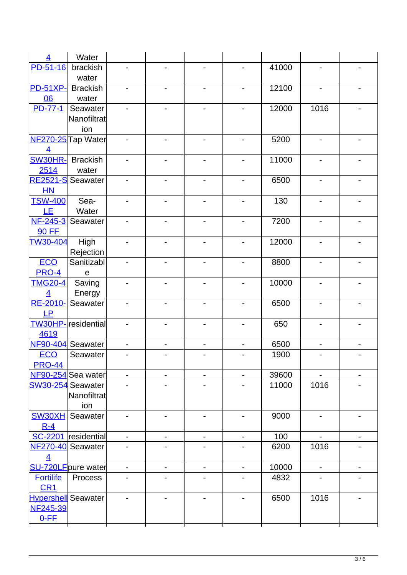| $\overline{4}$                | Water                      |                          |                              |                |                          |       |                              |                              |
|-------------------------------|----------------------------|--------------------------|------------------------------|----------------|--------------------------|-------|------------------------------|------------------------------|
| $PD-51-16$                    | brackish                   |                          |                              |                |                          | 41000 |                              |                              |
|                               | water                      |                          |                              |                |                          |       |                              |                              |
| <b>PD-51XP-</b>               | <b>Brackish</b>            |                          |                              |                |                          | 12100 |                              |                              |
| 06                            | water                      |                          |                              |                |                          |       |                              |                              |
| <b>PD-77-1</b>                | Seawater                   |                          |                              |                |                          | 12000 | 1016                         |                              |
|                               | Nanofiltrat                |                          |                              |                |                          |       |                              |                              |
|                               | ion                        |                          |                              |                |                          |       |                              |                              |
|                               | NF270-25 Tap Water         |                          |                              |                |                          | 5200  | $\overline{\phantom{0}}$     |                              |
| $\overline{4}$                |                            |                          |                              |                |                          |       |                              |                              |
| <b>SW30HR-</b> Brackish       |                            | -                        | $\overline{\phantom{a}}$     |                |                          | 11000 | $\overline{\phantom{0}}$     |                              |
| 2514                          | water                      |                          |                              |                |                          |       |                              |                              |
| <b>RE2521-S</b> Seawater      |                            |                          |                              |                |                          | 6500  | $\qquad \qquad \blacksquare$ |                              |
| HN                            |                            |                          |                              |                |                          |       |                              |                              |
| <b>TSW-400</b>                | Sea-                       | -                        | $\overline{\phantom{a}}$     | $\overline{a}$ | -                        | 130   | $\overline{\phantom{0}}$     |                              |
| <b>LE</b>                     | Water                      |                          |                              |                |                          |       |                              |                              |
| NF-245-3                      | Seawater                   |                          |                              |                |                          | 7200  | $\qquad \qquad \blacksquare$ |                              |
| <b>90 FF</b>                  |                            |                          |                              |                |                          |       |                              |                              |
| <b>TW30-404</b>               | High                       | $\overline{a}$           | $\overline{\phantom{a}}$     |                | $\overline{\phantom{0}}$ | 12000 | $\overline{\phantom{0}}$     |                              |
|                               | Rejection                  |                          |                              |                |                          |       |                              |                              |
| <b>ECO</b>                    | Sanitizabl                 |                          |                              |                |                          | 8800  | $\overline{\phantom{0}}$     |                              |
| <b>PRO-4</b>                  | $\mathbf e$                |                          |                              |                |                          |       |                              |                              |
| <b>TMG20-4</b>                | Saving                     | -                        | $\blacksquare$               |                | $\blacksquare$           | 10000 | $\overline{\phantom{0}}$     |                              |
| $\overline{4}$                | Energy                     |                          |                              |                |                          |       |                              |                              |
| RE-2010-                      | Seawater                   |                          | $\overline{\phantom{0}}$     |                |                          | 6500  | $\overline{\phantom{0}}$     |                              |
| <b>LP</b>                     |                            |                          |                              |                |                          |       |                              |                              |
|                               | <b>TW30HP-</b> residential | $\overline{a}$           | $\blacksquare$               |                | $\blacksquare$           | 650   | $\overline{\phantom{a}}$     |                              |
| 4619                          |                            |                          |                              |                |                          |       |                              |                              |
| <b>NF90-404</b><br><b>ECO</b> | Seawater<br>Seawater       | $\overline{\phantom{0}}$ | $\overline{\phantom{0}}$     |                |                          | 6500  | $\frac{1}{2}$                | $\qquad \qquad \blacksquare$ |
| <b>PRO-44</b>                 |                            |                          |                              |                |                          | 1900  |                              |                              |
|                               | NF90-254 Sea water         | $\overline{\phantom{a}}$ | $\overline{\phantom{0}}$     |                |                          | 39600 |                              |                              |
| SW30-254 Seawater             |                            |                          |                              |                |                          | 11000 | 1016                         |                              |
|                               | Nanofiltrat                |                          |                              |                |                          |       |                              |                              |
|                               | ion                        |                          |                              |                |                          |       |                              |                              |
| SW30XH                        | Seawater                   |                          |                              |                |                          | 9000  | $\overline{\phantom{a}}$     |                              |
| $R - 4$                       |                            |                          |                              |                |                          |       |                              |                              |
|                               | SC-2201 residential        | -                        | $\qquad \qquad \blacksquare$ |                |                          | 100   |                              |                              |
|                               | NF270-40 Seawater          |                          |                              |                |                          | 6200  | 1016                         |                              |
| $\overline{4}$                |                            |                          |                              |                |                          |       |                              |                              |
|                               | <b>SU-720LF</b> pure water | $\blacksquare$           | $\overline{\phantom{0}}$     | $\overline{a}$ | $\overline{\phantom{0}}$ | 10000 | $\blacksquare$               | $\overline{\phantom{a}}$     |
| <b>Fortilife</b>              | Process                    |                          |                              |                |                          | 4832  |                              |                              |
| CR <sub>1</sub>               |                            |                          |                              |                |                          |       |                              |                              |
| Hypershell Seawater           |                            |                          |                              |                |                          | 6500  | 1016                         |                              |
| <b>NF245-39</b>               |                            |                          |                              |                |                          |       |                              |                              |
| $0-FF$                        |                            |                          |                              |                |                          |       |                              |                              |
|                               |                            |                          |                              |                |                          |       |                              |                              |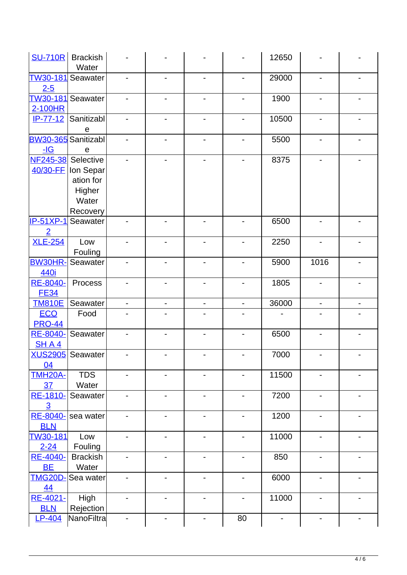| <b>SU-710R</b>                                   | <b>Brackish</b><br>Water                                         |                              |                          |   |    | 12650 |                              |  |
|--------------------------------------------------|------------------------------------------------------------------|------------------------------|--------------------------|---|----|-------|------------------------------|--|
| TW30-181 Seawater<br>$2 - 5$                     |                                                                  |                              |                          |   |    | 29000 | $\qquad \qquad \blacksquare$ |  |
| 2-100HR                                          | TW30-181 Seawater                                                | -                            | $\overline{\phantom{0}}$ |   | -  | 1900  | $\overline{\phantom{0}}$     |  |
|                                                  | IP-77-12 Sanitizabl<br>е                                         | -                            | $\overline{\phantom{0}}$ | ÷ |    | 10500 | $\overline{\phantom{0}}$     |  |
| BW30-365 Sanitizabl<br>$\underline{\mathsf{dG}}$ | e                                                                |                              |                          |   |    | 5500  | $\overline{\phantom{0}}$     |  |
| NF245-38 Selective                               | 40/30-FF   Ion Separ<br>ation for<br>Higher<br>Water<br>Recovery |                              |                          |   |    | 8375  | $\overline{\phantom{0}}$     |  |
| $IP-51XP-1$<br>$\overline{2}$                    | Seawater                                                         |                              |                          |   |    | 6500  | $\overline{\phantom{0}}$     |  |
| <b>XLE-254</b>                                   | Low<br>Fouling                                                   | -                            |                          |   |    | 2250  | $\overline{a}$               |  |
| <b>BW30HR-</b><br>440i                           | Seawater                                                         |                              |                          |   |    | 5900  | 1016                         |  |
| RE-8040-<br><b>FE34</b>                          | Process                                                          | -                            |                          |   |    | 1805  | $\overline{\phantom{0}}$     |  |
| <b>TM810E</b>                                    | Seawater                                                         | $\qquad \qquad \blacksquare$ |                          |   |    | 36000 | $\overline{\phantom{0}}$     |  |
| <b>ECO</b><br><b>PRO-44</b>                      | Food                                                             |                              |                          |   |    |       |                              |  |
| RE-8040-<br>SHA4                                 | Seawater                                                         |                              |                          |   |    | 6500  |                              |  |
| 04                                               | XUS2905 Seawater                                                 |                              |                          |   |    | 7000  |                              |  |
| <b>TMH20A-</b><br>37                             | <b>TDS</b><br>Water                                              | -                            |                          |   |    | 11500 |                              |  |
| RE-1810-<br>$\overline{3}$                       | Seawater                                                         |                              |                          |   |    | 7200  |                              |  |
| RE-8040-<br><b>BLN</b>                           | sea water                                                        |                              |                          |   |    | 1200  | ۰                            |  |
| TW30-181<br>$2 - 24$                             | Low<br>Fouling                                                   |                              |                          |   |    | 11000 |                              |  |
| <b>RE-4040-</b><br><b>BE</b>                     | <b>Brackish</b><br>Water                                         |                              |                          |   |    | 850   | $\blacksquare$               |  |
| <b>TMG20D-</b><br>44                             | Sea water                                                        |                              |                          |   |    | 6000  |                              |  |
| RE-4021-<br><b>BLN</b>                           | High<br>Rejection                                                | -                            |                          |   |    | 11000 | $\overline{\phantom{0}}$     |  |
| <b>LP-404</b>                                    | NanoFiltra                                                       |                              |                          |   | 80 |       |                              |  |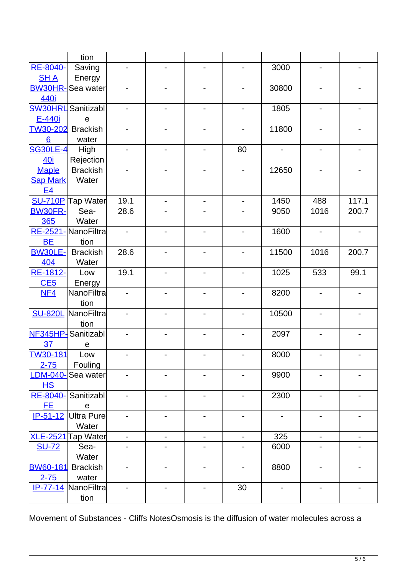|                 | tion                    |                              |                              |                          |                          |                          |                              |                          |
|-----------------|-------------------------|------------------------------|------------------------------|--------------------------|--------------------------|--------------------------|------------------------------|--------------------------|
| <b>RE-8040-</b> | Saving                  | $\qquad \qquad \blacksquare$ | $\overline{\phantom{a}}$     |                          |                          | 3000                     | $\qquad \qquad \blacksquare$ |                          |
| <b>SHA</b>      | Energy                  |                              |                              |                          |                          |                          |                              |                          |
|                 | <b>BW30HR-Sea water</b> |                              | $\qquad \qquad \blacksquare$ | $\overline{\phantom{0}}$ | $\overline{\phantom{0}}$ | 30800                    | $\qquad \qquad \blacksquare$ |                          |
| 440i            |                         |                              |                              |                          |                          |                          |                              |                          |
| <b>SW30HRL</b>  | Sanitizabl              | $\overline{\phantom{a}}$     | $\overline{\phantom{0}}$     | $\overline{\phantom{0}}$ | -                        | 1805                     | $\qquad \qquad \blacksquare$ |                          |
| E-440i          | е                       |                              |                              |                          |                          |                          |                              |                          |
| <b>TW30-202</b> | <b>Brackish</b>         | $\qquad \qquad \blacksquare$ | $\qquad \qquad \blacksquare$ | $\overline{\phantom{0}}$ | $\overline{\phantom{0}}$ | 11800                    | $\overline{\phantom{a}}$     |                          |
| 6               | water                   |                              |                              |                          |                          |                          |                              |                          |
| <b>SG30LE-4</b> | High                    | $\overline{\phantom{a}}$     | $\overline{\phantom{a}}$     | $\blacksquare$           | 80                       | $\overline{\phantom{a}}$ | $\qquad \qquad \blacksquare$ |                          |
| 40i             | Rejection               |                              |                              |                          |                          |                          |                              |                          |
| <b>Maple</b>    | <b>Brackish</b>         |                              | $\qquad \qquad \blacksquare$ |                          | $\overline{\phantom{0}}$ | 12650                    | $\qquad \qquad \blacksquare$ |                          |
| <b>Sap Mark</b> | Water                   |                              |                              |                          |                          |                          |                              |                          |
| <u>E4</u>       |                         |                              |                              |                          |                          |                          |                              |                          |
|                 | SU-710P Tap Water       | 19.1                         | $\overline{\phantom{a}}$     | $\overline{\phantom{a}}$ | $\overline{\phantom{0}}$ | 1450                     | 488                          | 117.1                    |
| <b>BW30FR-</b>  | Sea-                    | 28.6                         |                              |                          |                          | 9050                     | 1016                         | 200.7                    |
| 365             | Water                   |                              |                              |                          |                          |                          |                              |                          |
|                 | RE-2521-NanoFiltra      | $\qquad \qquad \blacksquare$ | $\overline{\phantom{a}}$     |                          |                          | 1600                     | $\qquad \qquad \blacksquare$ |                          |
| <b>BE</b>       | tion                    |                              |                              |                          |                          |                          |                              |                          |
| <b>BW30LE-</b>  | <b>Brackish</b>         | 28.6                         | $\overline{\phantom{a}}$     |                          | $\overline{\phantom{0}}$ | 11500                    | 1016                         | 200.7                    |
| 404             | Water                   |                              |                              |                          |                          |                          |                              |                          |
| RE-1812-        | Low                     | 19.1                         | $\overline{\phantom{a}}$     |                          |                          | 1025                     | 533                          | 99.1                     |
| CE5             | Energy                  |                              |                              |                          |                          |                          |                              |                          |
| NF4             | NanoFiltra              | $\qquad \qquad \blacksquare$ | $\overline{\phantom{a}}$     |                          |                          | 8200                     | $\overline{\phantom{a}}$     |                          |
|                 | tion                    |                              |                              |                          |                          |                          |                              |                          |
| <b>SU-820L</b>  | NanoFiltra              | $\overline{\phantom{a}}$     | $\overline{\phantom{a}}$     |                          |                          | 10500                    | $\qquad \qquad \blacksquare$ |                          |
|                 | tion                    |                              |                              |                          |                          |                          |                              |                          |
| <b>NF345HP-</b> | Sanitizabl              | -                            | $\qquad \qquad \blacksquare$ |                          |                          | 2097                     | $\qquad \qquad \blacksquare$ |                          |
| 37              | e                       |                              |                              |                          |                          |                          |                              |                          |
| <b>TW30-181</b> | Low                     | ۰                            |                              | ٠                        |                          | 8000                     |                              |                          |
| $2 - 75$        | Fouling                 |                              |                              |                          |                          |                          |                              |                          |
| <b>LDM-040-</b> | Sea water               | $\overline{\phantom{a}}$     | $\qquad \qquad \blacksquare$ | $\overline{\phantom{0}}$ |                          | 9900                     | $\qquad \qquad \blacksquare$ |                          |
| H.S.            |                         |                              |                              |                          |                          |                          |                              |                          |
| <b>RE-8040-</b> | Sanitizabl              | $\qquad \qquad \blacksquare$ | $\qquad \qquad \blacksquare$ | -                        |                          | 2300                     | $\qquad \qquad \blacksquare$ |                          |
| <b>EE</b>       | ${\bf e}$               |                              |                              |                          |                          |                          |                              |                          |
| $IP-51-12$      | <b>Ultra Pure</b>       | $\qquad \qquad \blacksquare$ | $\qquad \qquad \blacksquare$ | $\overline{\phantom{0}}$ |                          | $\overline{\phantom{a}}$ | $\qquad \qquad \blacksquare$ |                          |
|                 | Water                   |                              |                              |                          |                          | 325                      |                              |                          |
| <b>XLE-2521</b> | <b>Tap Water</b>        | $\overline{\phantom{a}}$     | $\qquad \qquad \blacksquare$ | $\overline{\phantom{a}}$ | $\overline{\phantom{0}}$ |                          | $\overline{\phantom{a}}$     | $\overline{\phantom{a}}$ |
| <b>SU-72</b>    | Sea-<br>Water           |                              |                              |                          |                          | 6000                     |                              |                          |
| <b>BW60-181</b> | <b>Brackish</b>         |                              |                              |                          |                          | 8800                     |                              |                          |
| $2 - 75$        | water                   |                              |                              |                          |                          |                          |                              |                          |
| $IP - 77 - 14$  | NanoFiltra              |                              |                              |                          | 30                       |                          |                              |                          |
|                 | tion                    |                              |                              |                          |                          |                          |                              |                          |
|                 |                         |                              |                              |                          |                          |                          |                              |                          |

Movement of Substances - Cliffs NotesOsmosis is the diffusion of water molecules across a